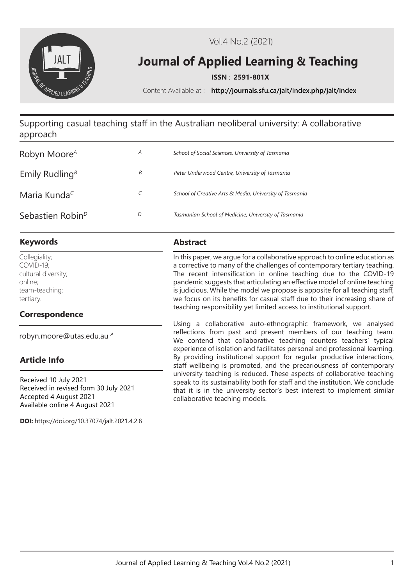

Vol.4 No.2 (2021)

# **Journal of Applied Learning & Teaching**

**ISSN** : **2591-801X**

Content Available at : **http://journals.sfu.ca/jalt/index.php/jalt/index**

# Supporting casual teaching staff in the Australian neoliberal university: A collaborative approach

| Robyn Moore <sup>A</sup>                    | A | School of Social Sciences, University of Tasmania       |
|---------------------------------------------|---|---------------------------------------------------------|
| Emily Rudling <sup><math>\beta</math></sup> | В | Peter Underwood Centre, University of Tasmania          |
| Maria Kunda <sup>c</sup>                    | C | School of Creative Arts & Media, University of Tasmania |
| Sebastien Robin <sup>D</sup>                | D | Tasmanian School of Medicine, University of Tasmania    |

# **Keywords Abstract**

Collegiality; COVID-19; cultural diversity; online; team-teaching; tertiary.

# **Correspondence**

robyn.moore@utas.edu.au *<sup>A</sup>*

# **Article Info**

Received 10 July 2021 Received in revised form 30 July 2021 Accepted 4 August 2021 Available online 4 August 2021

**DOI:** https://doi.org/10.37074/jalt.2021.4.2.8

In this paper, we argue for a collaborative approach to online education as a corrective to many of the challenges of contemporary tertiary teaching. The recent intensification in online teaching due to the COVID-19 pandemic suggests that articulating an effective model of online teaching is judicious. While the model we propose is apposite for all teaching staff, we focus on its benefits for casual staff due to their increasing share of teaching responsibility yet limited access to institutional support.

Using a collaborative auto-ethnographic framework, we analysed reflections from past and present members of our teaching team. We contend that collaborative teaching counters teachers' typical experience of isolation and facilitates personal and professional learning. By providing institutional support for regular productive interactions, staff wellbeing is promoted, and the precariousness of contemporary university teaching is reduced. These aspects of collaborative teaching speak to its sustainability both for staff and the institution. We conclude that it is in the university sector's best interest to implement similar collaborative teaching models.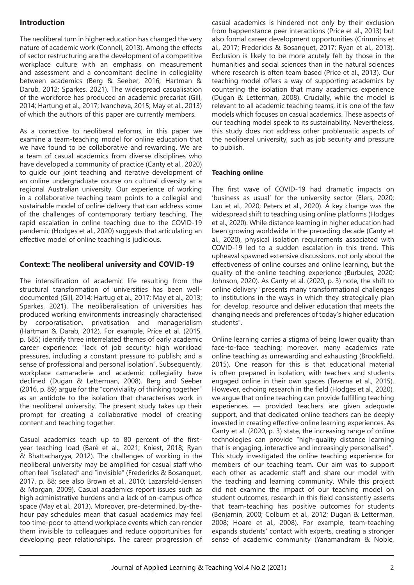# **Introduction**

The neoliberal turn in higher education has changed the very nature of academic work (Connell, 2013). Among the effects of sector restructuring are the development of a competitive workplace culture with an emphasis on measurement and assessment and a concomitant decline in collegiality between academics (Berg & Seeber, 2016; Hartman & Darub, 2012; Sparkes, 2021). The widespread casualisation of the workforce has produced an academic precariat (Gill, 2014; Hartung et al., 2017; Ivancheva, 2015; May et al., 2013) of which the authors of this paper are currently members.

As a corrective to neoliberal reforms, in this paper we examine a team-teaching model for online education that we have found to be collaborative and rewarding. We are a team of casual academics from diverse disciplines who have developed a community of practice (Canty et al., 2020) to guide our joint teaching and iterative development of an online undergraduate course on cultural diversity at a regional Australian university. Our experience of working in a collaborative teaching team points to a collegial and sustainable model of online delivery that can address some of the challenges of contemporary tertiary teaching. The rapid escalation in online teaching due to the COVID-19 pandemic (Hodges et al., 2020) suggests that articulating an effective model of online teaching is judicious.

# **Context: The neoliberal university and COVID-19**

The intensification of academic life resulting from the structural transformation of universities has been welldocumented (Gill, 2014; Hartug et al., 2017; May et al., 2013; Sparkes, 2021). The neoliberalisation of universities has produced working environments increasingly characterised by corporatisation, privatisation and managerialism (Hartman & Darab, 2012). For example, Price et al. (2015, p. 685) identify three interrelated themes of early academic career experience: "lack of job security; high workload pressures, including a constant pressure to publish; and a sense of professional and personal isolation". Subsequently, workplace camaraderie and academic collegiality have declined (Dugan & Letterman, 2008). Berg and Seeber (2016, p. 89) argue for the "conviviality of thinking together" as an antidote to the isolation that characterises work in the neoliberal university. The present study takes up their prompt for creating a collaborative model of creating content and teaching together.

Casual academics teach up to 80 percent of the firstyear teaching load (Baré et al., 2021; Kniest, 2018; Ryan & Bhattacharyya, 2012). The challenges of working in the neoliberal university may be amplified for casual staff who often feel "isolated" and "invisible" (Fredericks & Bosanquet, 2017, p. 88; see also Brown et al., 2010; Lazarsfeld-Jensen & Morgan, 2009). Casual academics report issues such as high administrative burdens and a lack of on-campus office space (May et al., 2013). Moreover, pre-determined, by-thehour pay schedules mean that casual academics may feel too time-poor to attend workplace events which can render them invisible to colleagues and reduce opportunities for developing peer relationships. The career progression of

casual academics is hindered not only by their exclusion from happenstance peer interactions (Price et al., 2013) but also formal career development opportunities (Crimmins et al., 2017; Fredericks & Bosanquet, 2017; Ryan et al., 2013). Exclusion is likely to be more acutely felt by those in the humanities and social sciences than in the natural sciences where research is often team based (Price et al., 2013). Our teaching model offers a way of supporting academics by countering the isolation that many academics experience (Dugan & Letterman, 2008). Crucially, while the model is relevant to all academic teaching teams, it is one of the few models which focuses on casual academics. These aspects of our teaching model speak to its sustainability. Nevertheless, this study does not address other problematic aspects of the neoliberal university, such as job security and pressure to publish.

#### **Teaching online**

The first wave of COVID-19 had dramatic impacts on 'business as usual' for the university sector (Elers, 2020; Lau et al., 2020; Peters et al., 2020). A key change was the widespread shift to teaching using online platforms (Hodges et al., 2020). While distance learning in higher education had been growing worldwide in the preceding decade (Canty et al., 2020), physical isolation requirements associated with COVID-19 led to a sudden escalation in this trend. This upheaval spawned extensive discussions, not only about the effectiveness of online courses and online learning, but the quality of the online teaching experience (Burbules, 2020; Johnson, 2020). As Canty et al. (2020, p. 3) note, the shift to online delivery "presents many transformational challenges to institutions in the ways in which they strategically plan for, develop, resource and deliver education that meets the changing needs and preferences of today's higher education students".

Online learning carries a stigma of being lower quality than face-to-face teaching; moreover, many academics rate online teaching as unrewarding and exhausting (Brookfield, 2015). One reason for this is that educational material is often prepared in isolation, with teachers and students engaged online in their own spaces (Taverna et al., 2015). However, echoing research in the field (Hodges et al., 2020), we argue that online teaching can provide fulfilling teaching experiences — provided teachers are given adequate support, and that dedicated online teachers can be deeply invested in creating effective online learning experiences. As Canty et al. (2020, p. 3) state, the increasing range of online technologies can provide "high-quality distance learning that is engaging, interactive and increasingly personalised". This study investigated the online teaching experience for members of our teaching team. Our aim was to support each other as academic staff and share our model with the teaching and learning community. While this project did not examine the impact of our teaching model on student outcomes, research in this field consistently asserts that team-teaching has positive outcomes for students (Benjamin, 2000; Colburn et al., 2012; Dugan & Letterman, 2008; Hoare et al., 2008). For example, team-teaching expands students' contact with experts, creating a stronger sense of academic community (Yanamandram & Noble,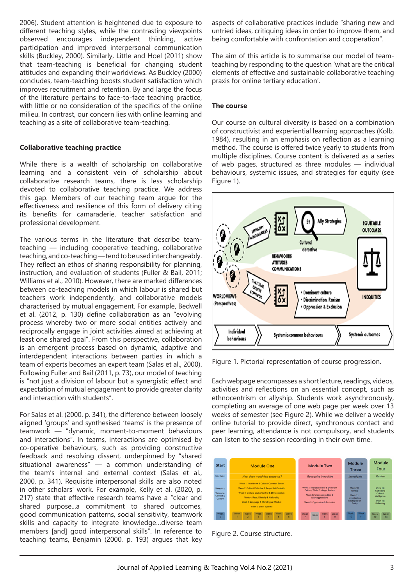2006). Student attention is heightened due to exposure to different teaching styles, while the contrasting viewpoints observed encourages independent thinking, active participation and improved interpersonal communication skills (Buckley, 2000). Similarly, Little and Hoel (2011) show that team-teaching is beneficial for changing student attitudes and expanding their worldviews. As Buckley (2000) concludes, team-teaching boosts student satisfaction which improves recruitment and retention. By and large the focus of the literature pertains to face-to-face teaching practice, with little or no consideration of the specifics of the online milieu. In contrast, our concern lies with online learning and teaching as a site of collaborative team-teaching.

#### **Collaborative teaching practice**

While there is a wealth of scholarship on collaborative learning and a consistent vein of scholarship about collaborative research teams, there is less scholarship devoted to collaborative teaching practice. We address this gap. Members of our teaching team argue for the effectiveness and resilience of this form of delivery citing its benefits for camaraderie, teacher satisfaction and professional development.

The various terms in the literature that describe teamteaching — including cooperative teaching, collaborative teaching, and co-teaching — tend to be used interchangeably. They reflect an ethos of sharing responsibility for planning, instruction, and evaluation of students (Fuller & Bail, 2011; Williams et al., 2010). However, there are marked differences between co-teaching models in which labour is shared but teachers work independently, and collaborative models characterised by mutual engagement. For example, Bedwell et al. (2012, p. 130) define collaboration as an "evolving process whereby two or more social entities actively and reciprocally engage in joint activities aimed at achieving at least one shared goal". From this perspective, collaboration is an emergent process based on dynamic, adaptive and interdependent interactions between parties in which a team of experts becomes an expert team (Salas et al., 2000). Following Fuller and Bail (2011, p. 73), our model of teaching is "not just a division of labour but a synergistic effect and expectation of mutual engagement to provide greater clarity and interaction with students".

For Salas et al. (2000. p. 341), the difference between loosely aligned 'groups' and synthesised 'teams' is the presence of teamwork — "dynamic, moment-to-moment behaviours and interactions". In teams, interactions are optimised by co-operative behaviours, such as providing constructive feedback and resolving dissent, underpinned by "shared situational awareness" — a common understanding of the team's internal and external context (Salas et al., 2000, p. 341). Requisite interpersonal skills are also noted in other scholars' work. For example, Kelly et al. (2020, p. 217) state that effective research teams have a "clear and shared purpose...a commitment to shared outcomes, good communication patterns, social sensitivity, teamwork skills and capacity to integrate knowledge…diverse team members [and] good interpersonal skills". In reference to teaching teams, Benjamin (2000, p. 193) argues that key aspects of collaborative practices include "sharing new and untried ideas, critiquing ideas in order to improve them, and being comfortable with confrontation and cooperation".

The aim of this article is to summarise our model of teamteaching by responding to the question 'what are the critical elements of effective and sustainable collaborative teaching praxis for online tertiary education'.

#### **The course**

Our course on cultural diversity is based on a combination of constructivist and experiential learning approaches (Kolb, 1984), resulting in an emphasis on reflection as a learning method. The course is offered twice yearly to students from multiple disciplines. Course content is delivered as a series of web pages, structured as three modules — individual behaviours, systemic issues, and strategies for equity (see Figure 1).



Figure 1. Pictorial representation of course progression.

Each webpage encompasses a short lecture, readings, videos, activities and reflections on an essential concept, such as ethnocentrism or allyship. Students work asynchronously, completing an average of one web page per week over 13 weeks of semester (see Figure 2). While we deliver a weekly online tutorial to provide direct, synchronous contact and peer learning, attendance is not compulsory, and students can listen to the session recording in their own time.

| <b>Start</b>                                         | <b>Module One</b>                                                                                                                                                                                                                                              | Module Two                                                                                                                                                    | Module<br>Module<br>Four<br><b>Three</b>                                                                                                                                     |
|------------------------------------------------------|----------------------------------------------------------------------------------------------------------------------------------------------------------------------------------------------------------------------------------------------------------------|---------------------------------------------------------------------------------------------------------------------------------------------------------------|------------------------------------------------------------------------------------------------------------------------------------------------------------------------------|
| Orientation                                          | How does worldview shape us?                                                                                                                                                                                                                                   | <b>Recognise inequities</b>                                                                                                                                   | Review<br>Investigate                                                                                                                                                        |
| <b>Week 0-1:</b><br>Welcome.<br>Context &<br>Culture | Week 1: Worldview & Cultural Common Sense<br>Week 2: Cultural Detective & Respectful Curiosity<br>Week 3: Cultural Cruise Control & Ethnocentrism<br>Week 4: Race, Ethnicity & Nationality<br>Week 5: Language & Monolingual Mindset<br>Week 6: Belief systems | Week 7: Intersectionality 8: Dominant<br>Culture, White Privilege, Racism<br>Week 8: Unconscious Bias &<br>Microaggressions<br>Week 9: Oppression & Exclusion | Week 10:<br><b>Week 12:</b><br>Cultivating<br>Allyship<br>Cultural<br>Week 11:<br>Intelligence<br>Investigating<br><b>Strategies for</b><br>Week 13:<br>Reflecting<br>Equity |
| Week<br>$\Omega$                                     | <b>Week</b><br>Week<br>Week<br><b>Week</b><br>Week<br>Week<br>$\overline{2}$<br>3<br>5<br>R<br>Δ                                                                                                                                                               | Week<br><b>Week</b><br><b>Week</b><br><b>Break</b><br>$\mathbf{R}$<br>$\Omega$                                                                                | <b>Week</b><br><b>Week</b><br><b>Week</b><br><b>Week</b><br>10<br>11<br>13<br>12                                                                                             |

Figure 2. Course structure.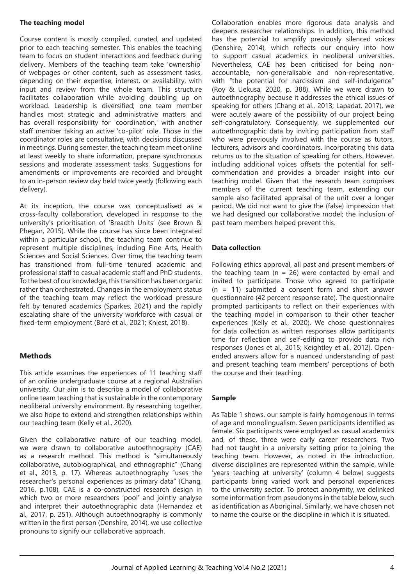#### **The teaching model**

Course content is mostly compiled, curated, and updated prior to each teaching semester. This enables the teaching team to focus on student interactions and feedback during delivery. Members of the teaching team take 'ownership' of webpages or other content, such as assessment tasks, depending on their expertise, interest, or availability, with input and review from the whole team. This structure facilitates collaboration while avoiding doubling up on workload. Leadership is diversified; one team member handles most strategic and administrative matters and has overall responsibility for 'coordination,' with another staff member taking an active 'co-pilot' role. Those in the coordinator roles are consultative, with decisions discussed in meetings. During semester, the teaching team meet online at least weekly to share information, prepare synchronous sessions and moderate assessment tasks. Suggestions for amendments or improvements are recorded and brought to an in-person review day held twice yearly (following each delivery).

At its inception, the course was conceptualised as a cross-faculty collaboration, developed in response to the university's prioritisation of 'Breadth Units' (see Brown & Phegan, 2015). While the course has since been integrated within a particular school, the teaching team continue to represent multiple disciplines, including Fine Arts, Health Sciences and Social Sciences. Over time, the teaching team has transitioned from full-time tenured academic and professional staff to casual academic staff and PhD students. To the best of our knowledge, this transition has been organic rather than orchestrated. Changes in the employment status of the teaching team may reflect the workload pressure felt by tenured academics (Sparkes, 2021) and the rapidly escalating share of the university workforce with casual or fixed-term employment (Baré et al., 2021; Kniest, 2018).

# **Methods**

This article examines the experiences of 11 teaching staff of an online undergraduate course at a regional Australian university. Our aim is to describe a model of collaborative online team teaching that is sustainable in the contemporary neoliberal university environment. By researching together, we also hope to extend and strengthen relationships within our teaching team (Kelly et al., 2020).

Given the collaborative nature of our teaching model, we were drawn to collaborative autoethnography (CAE) as a research method. This method is "simultaneously collaborative, autobiographical, and ethnographic" (Chang et al., 2013, p. 17). Whereas autoethnography "uses the researcher's personal experiences as primary data" (Chang, 2016, p.108), CAE is a co-constructed research design in which two or more researchers 'pool' and jointly analyse and interpret their autoethnographic data (Hernandez et al., 2017, p. 251). Although autoethnography is commonly written in the first person (Denshire, 2014), we use collective pronouns to signify our collaborative approach.

Collaboration enables more rigorous data analysis and deepens researcher relationships. In addition, this method has the potential to amplify previously silenced voices (Denshire, 2014), which reflects our enquiry into how to support casual academics in neoliberal universities. Nevertheless, CAE has been criticised for being nonaccountable, non-generalisable and non-representative, with "the potential for narcissism and self-indulgence" (Roy & Uekusa, 2020, p. 388). While we were drawn to autoethnography because it addresses the ethical issues of speaking for others (Chang et al., 2013; Lapadat, 2017), we were acutely aware of the possibility of our project being self-congratulatory. Consequently, we supplemented our autoethnographic data by inviting participation from staff who were previously involved with the course as tutors, lecturers, advisors and coordinators. Incorporating this data returns us to the situation of speaking for others. However, including additional voices offsets the potential for selfcommendation and provides a broader insight into our teaching model. Given that the research team comprises members of the current teaching team, extending our sample also facilitated appraisal of the unit over a longer period. We did not want to give the (false) impression that we had designed our collaborative model; the inclusion of past team members helped prevent this.

#### **Data collection**

Following ethics approval, all past and present members of the teaching team ( $n = 26$ ) were contacted by email and invited to participate. Those who agreed to participate (n = 11) submitted a consent form and short answer questionnaire (42 percent response rate). The questionnaire prompted participants to reflect on their experiences with the teaching model in comparison to their other teacher experiences (Kelly et al., 2020). We chose questionnaires for data collection as written responses allow participants time for reflection and self-editing to provide data rich responses (Jones et al., 2015; Keightley et al., 2012). Openended answers allow for a nuanced understanding of past and present teaching team members' perceptions of both the course and their teaching.

#### **Sample**

As Table 1 shows, our sample is fairly homogenous in terms of age and monolingualism. Seven participants identified as female. Six participants were employed as casual academics and, of these, three were early career researchers. Two had not taught in a university setting prior to joining the teaching team. However, as noted in the introduction, diverse disciplines are represented within the sample, while 'years teaching at university' (column 4 below) suggests participants bring varied work and personal experiences to the university sector. To protect anonymity, we delinked some information from pseudonyms in the table below, such as identification as Aboriginal. Similarly, we have chosen not to name the course or the discipline in which it is situated.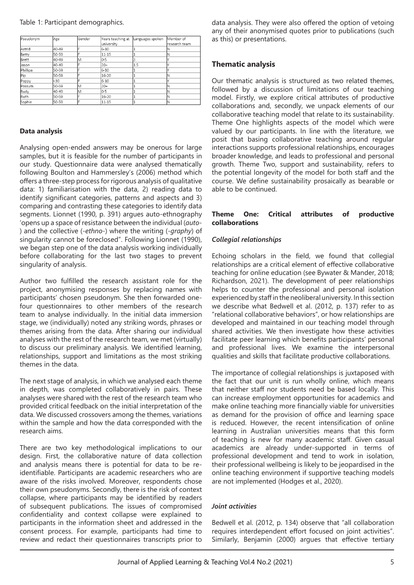| Pseudonym | Age   | Gender | Years teaching at | Languages spoken | Member of      |
|-----------|-------|--------|-------------------|------------------|----------------|
|           |       |        | university        |                  | lresearch team |
| Astrid    | 40-49 |        | $6 - 10$          |                  |                |
| Betty     | 50-59 |        | 11-15             |                  | IN             |
| Brett     | 40-49 | lΜ     | $0-5$             |                  |                |
| lJason    | 40-49 |        | $20+$             | 1.5              |                |
| Phillipa  | 50-59 |        | $6 - 10$          |                  |                |
| Pip       | 50-59 |        | 16-20             |                  |                |
| Poppy     | <30   |        | $6 - 10$          |                  |                |
| Possum    | 50-59 | lΜ     | $20+$             |                  | ΙN             |
| Rudy      | 40-49 | lΜ     | $0 - 5$           |                  | ΙN             |
| Ruth      | 50-59 |        | 16-20             |                  | N              |
| Sophie    | 50-59 |        | 11-15             |                  | ΙN             |

#### **Data analysis**

Analysing open-ended answers may be onerous for large samples, but it is feasible for the number of participants in our study. Questionnaire data were analysed thematically following Boulton and Hammersley's (2006) method which offers a three-step process for rigorous analysis of qualitative data: 1) familiarisation with the data, 2) reading data to identify significant categories, patterns and aspects and 3) comparing and contrasting these categories to identify data segments. Lionnet (1990, p. 391) argues auto-ethnography 'opens up a space of resistance between the individual (*auto*- ) and the collective (-*ethno*-) where the writing (-*graphy*) of singularity cannot be foreclosed". Following Lionnet (1990), we began step one of the data analysis working individually before collaborating for the last two stages to prevent singularity of analysis.

Author two fulfilled the research assistant role for the project, anonymising responses by replacing names with participants' chosen pseudonym. She then forwarded onefour questionnaires to other members of the research team to analyse individually. In the initial data immersion stage, we (individually) noted any striking words, phrases or themes arising from the data. After sharing our individual analyses with the rest of the research team, we met (virtually) to discuss our preliminary analysis. We identified learning, relationships, support and limitations as the most striking themes in the data.

The next stage of analysis, in which we analysed each theme in depth, was completed collaboratively in pairs. These analyses were shared with the rest of the research team who provided critical feedback on the initial interpretation of the data. We discussed crossovers among the themes, variations within the sample and how the data corresponded with the research aims.

There are two key methodological implications to our design. First, the collaborative nature of data collection and analysis means there is potential for data to be reidentifiable. Participants are academic researchers who are aware of the risks involved. Moreover, respondents chose their own pseudonyms. Secondly, there is the risk of context collapse, where participants may be identified by readers of subsequent publications. The issues of compromised confidentiality and context collapse were explained to participants in the information sheet and addressed in the consent process. For example, participants had time to review and redact their questionnaires transcripts prior to

data analysis. They were also offered the option of vetoing any of their anonymised quotes prior to publications (such as this) or presentations.

### **Thematic analysis**

Our thematic analysis is structured as two related themes, followed by a discussion of limitations of our teaching model. Firstly, we explore critical attributes of productive collaborations and, secondly, we unpack elements of our collaborative teaching model that relate to its sustainability. Theme One highlights aspects of the model which were valued by our participants. In line with the literature, we posit that basing collaborative teaching around regular interactions supports professional relationships, encourages broader knowledge, and leads to professional and personal growth. Theme Two, support and sustainability, refers to the potential longevity of the model for both staff and the course. We define sustainability prosaically as bearable or able to be continued.

#### **Theme One: Critical attributes of productive collaborations**

#### *Collegial relationships*

Echoing scholars in the field, we found that collegial relationships are a critical element of effective collaborative teaching for online education (see Bywater & Mander, 2018; Richardson, 2021). The development of peer relationships helps to counter the professional and personal isolation experienced by staff in the neoliberal university. In this section we describe what Bedwell et al. (2012, p. 137) refer to as "relational collaborative behaviors", or how relationships are developed and maintained in our teaching model through shared activities. We then investigate how these activities facilitate peer learning which benefits participants' personal and professional lives. We examine the interpersonal qualities and skills that facilitate productive collaborations.

The importance of collegial relationships is juxtaposed with the fact that our unit is run wholly online, which means that neither staff nor students need be based locally. This can increase employment opportunities for academics and make online teaching more financially viable for universities as demand for the provision of office and learning space is reduced. However, the recent intensification of online learning in Australian universities means that this form of teaching is new for many academic staff. Given casual academics are already under-supported in terms of professional development and tend to work in isolation, their professional wellbeing is likely to be jeopardised in the online teaching environment if supportive teaching models are not implemented (Hodges et al., 2020).

#### *Joint activities*

Bedwell et al. (2012, p. 134) observe that "all collaboration requires interdependent effort focused on joint activities". Similarly, Benjamin (2000) argues that effective tertiary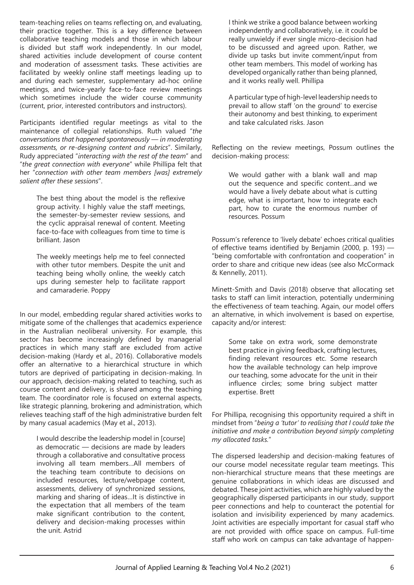team-teaching relies on teams reflecting on, and evaluating, their practice together. This is a key difference between collaborative teaching models and those in which labour is divided but staff work independently. In our model, shared activities include development of course content and moderation of assessment tasks. These activities are facilitated by weekly online staff meetings leading up to and during each semester, supplementary ad-hoc online meetings, and twice-yearly face-to-face review meetings which sometimes include the wider course community (current, prior, interested contributors and instructors).

Participants identified regular meetings as vital to the maintenance of collegial relationships. Ruth valued "*the conversations that happened spontaneously — in moderating assessments, or re-designing content and rubrics*". Similarly, Rudy appreciated "*interacting with the rest of the team*" and "*the great connection with everyone*" while Phillipa felt that her "*connection with other team members [was] extremely salient after these sessions*".

The best thing about the model is the reflexive group activity. I highly value the staff meetings, the semester-by-semester review sessions, and the cyclic appraisal renewal of content. Meeting face-to-face with colleagues from time to time is brilliant. Jason

The weekly meetings help me to feel connected with other tutor members. Despite the unit and teaching being wholly online, the weekly catch ups during semester help to facilitate rapport and camaraderie. Poppy

In our model, embedding regular shared activities works to mitigate some of the challenges that academics experience in the Australian neoliberal university. For example, this sector has become increasingly defined by managerial practices in which many staff are excluded from active decision-making (Hardy et al., 2016). Collaborative models offer an alternative to a hierarchical structure in which tutors are deprived of participating in decision-making. In our approach, decision-making related to teaching, such as course content and delivery, is shared among the teaching team. The coordinator role is focused on external aspects, like strategic planning, brokering and administration, which relieves teaching staff of the high administrative burden felt by many casual academics (May et al., 2013).

I would describe the leadership model in [course] as democratic — decisions are made by leaders through a collaborative and consultative process involving all team members…All members of the teaching team contribute to decisions on included resources, lecture/webpage content, assessments, delivery of synchronized sessions, marking and sharing of ideas…It is distinctive in the expectation that all members of the team make significant contribution to the content, delivery and decision-making processes within the unit. Astrid

I think we strike a good balance between working independently and collaboratively, i.e. it could be really unwieldy if ever single micro-decision had to be discussed and agreed upon. Rather, we divide up tasks but invite comment/input from other team members. This model of working has developed organically rather than being planned, and it works really well. Phillipa

A particular type of high-level leadership needs to prevail to allow staff 'on the ground' to exercise their autonomy and best thinking, to experiment and take calculated risks. Jason

Reflecting on the review meetings, Possum outlines the decision-making process:

We would gather with a blank wall and map out the sequence and specific content...and we would have a lively debate about what is cutting edge, what is important, how to integrate each part, how to curate the enormous number of resources. Possum

Possum's reference to 'lively debate' echoes critical qualities of effective teams identified by Benjamin (2000, p. 193) — "being comfortable with confrontation and cooperation" in order to share and critique new ideas (see also McCormack & Kennelly, 2011).

Minett-Smith and Davis (2018) observe that allocating set tasks to staff can limit interaction, potentially undermining the effectiveness of team teaching. Again, our model offers an alternative, in which involvement is based on expertise, capacity and/or interest:

Some take on extra work, some demonstrate best practice in giving feedback, crafting lectures, finding relevant resources etc. Some research how the available technology can help improve our teaching, some advocate for the unit in their influence circles; some bring subject matter expertise. Brett

For Phillipa, recognising this opportunity required a shift in mindset from "*being a 'tutor' to realising that I could take the initiative and make a contribution beyond simply completing my allocated tasks.*"

The dispersed leadership and decision-making features of our course model necessitate regular team meetings. This non-hierarchical structure means that these meetings are genuine collaborations in which ideas are discussed and debated. These joint activities, which are highly valued by the geographically dispersed participants in our study, support peer connections and help to counteract the potential for isolation and invisibility experienced by many academics. Joint activities are especially important for casual staff who are not provided with office space on campus. Full-time staff who work on campus can take advantage of happen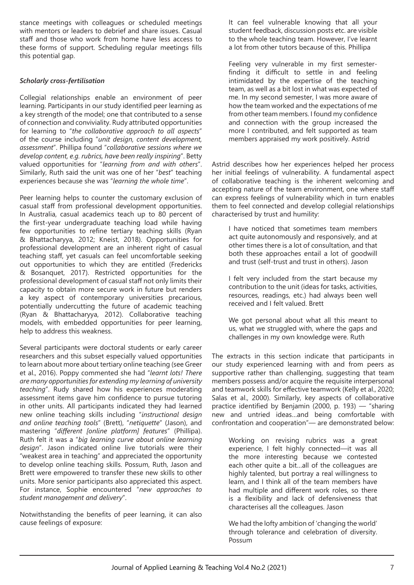stance meetings with colleagues or scheduled meetings with mentors or leaders to debrief and share issues. Casual staff and those who work from home have less access to these forms of support. Scheduling regular meetings fills this potential gap.

#### *Scholarly cross-fertilisation*

Collegial relationships enable an environment of peer learning. Participants in our study identified peer learning as a key strength of the model; one that contributed to a sense of connection and conviviality. Rudy attributed opportunities for learning to "*the collaborative approach to all aspects*" of the course including "*unit design, content development, assessment*". Phillipa found "*collaborative sessions where we develop content, e.g. rubrics, have been really inspiring*". Betty valued opportunities for "*learning from and with others*". Similarly, Ruth said the unit was one of her "*best*" teaching experiences because she was "*learning the whole time*".

Peer learning helps to counter the customary exclusion of casual staff from professional development opportunities. In Australia, casual academics teach up to 80 percent of the first-year undergraduate teaching load while having few opportunities to refine tertiary teaching skills (Ryan & Bhattacharyya, 2012; Kneist, 2018). Opportunities for professional development are an inherent right of casual teaching staff, yet casuals can feel uncomfortable seeking out opportunities to which they are entitled (Fredericks & Bosanquet, 2017). Restricted opportunities for the professional development of casual staff not only limits their capacity to obtain more secure work in future but renders a key aspect of contemporary universities precarious, potentially undercutting the future of academic teaching (Ryan & Bhattacharyya, 2012). Collaborative teaching models, with embedded opportunities for peer learning, help to address this weakness.

Several participants were doctoral students or early career researchers and this subset especially valued opportunities to learn about more about tertiary online teaching (see Greer et al., 2016). Poppy commented she had "*learnt lots! There are many opportunities for extending my learning of university teaching*". Rudy shared how his experiences moderating assessment items gave him confidence to pursue tutoring in other units. All participants indicated they had learned new online teaching skills including "*instructional design and online teaching tools*" (Brett), "*netiquette*" (Jason), and mastering "*different [online platform] features*" (Phillipa). Ruth felt it was a "*big learning curve about online learning design*". Jason indicated online live tutorials were their "weakest area in teaching" and appreciated the opportunity to develop online teaching skills. Possum, Ruth, Jason and Brett were empowered to transfer these new skills to other units. More senior participants also appreciated this aspect. For instance, Sophie encountered "*new approaches to student management and delivery*".

Notwithstanding the benefits of peer learning, it can also cause feelings of exposure:

It can feel vulnerable knowing that all your student feedback, discussion posts etc. are visible to the whole teaching team. However, I've learnt a lot from other tutors because of this. Phillipa

Feeling very vulnerable in my first semesterfinding it difficult to settle in and feeling intimidated by the expertise of the teaching team, as well as a bit lost in what was expected of me. In my second semester, I was more aware of how the team worked and the expectations of me from other team members. I found my confidence and connection with the group increased the more I contributed, and felt supported as team members appraised my work positively. Astrid

Astrid describes how her experiences helped her process her initial feelings of vulnerability. A fundamental aspect of collaborative teaching is the inherent welcoming and accepting nature of the team environment, one where staff can express feelings of vulnerability which in turn enables them to feel connected and develop collegial relationships characterised by trust and humility:

I have noticed that sometimes team members act quite autonomously and responsively, and at other times there is a lot of consultation, and that both these approaches entail a lot of goodwill and trust (self-trust and trust in others). Jason

I felt very included from the start because my contribution to the unit (ideas for tasks, activities, resources, readings, etc.) had always been well received and I felt valued. Brett

We got personal about what all this meant to us, what we struggled with, where the gaps and challenges in my own knowledge were. Ruth

The extracts in this section indicate that participants in our study experienced learning with and from peers as supportive rather than challenging, suggesting that team members possess and/or acquire the requisite interpersonal and teamwork skills for effective teamwork (Kelly et al., 2020; Salas et al., 2000). Similarly, key aspects of collaborative practice identified by Benjamin (2000, p. 193) — "sharing new and untried ideas…and being comfortable with confrontation and cooperation"— are demonstrated below:

Working on revising rubrics was a great experience, I felt highly connected—it was all the more interesting because we contested each other quite a bit…all of the colleagues are highly talented, but portray a real willingness to learn, and I think all of the team members have had multiple and different work roles, so there is a flexibility and lack of defensiveness that characterises all the colleagues. Jason

We had the lofty ambition of 'changing the world' through tolerance and celebration of diversity. Possum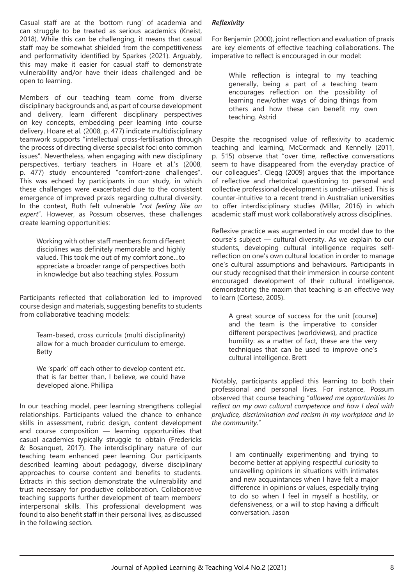Casual staff are at the 'bottom rung' of academia and can struggle to be treated as serious academics (Kneist, 2018). While this can be challenging, it means that casual staff may be somewhat shielded from the competitiveness and performativity identified by Sparkes (2021). Arguably, this may make it easier for casual staff to demonstrate vulnerability and/or have their ideas challenged and be open to learning.

Members of our teaching team come from diverse disciplinary backgrounds and, as part of course development and delivery, learn different disciplinary perspectives on key concepts, embedding peer learning into course delivery. Hoare et al. (2008, p. 477) indicate multidisciplinary teamwork supports "intellectual cross-fertilisation through the process of directing diverse specialist foci onto common issues". Nevertheless, when engaging with new disciplinary perspectives, tertiary teachers in Hoare et al.'s (2008, p. 477) study encountered "comfort-zone challenges". This was echoed by participants in our study, in which these challenges were exacerbated due to the consistent emergence of improved praxis regarding cultural diversity. In the context, Ruth felt vulnerable "*not feeling like an expert*". However, as Possum observes, these challenges create learning opportunities:

Working with other staff members from different disciplines was definitely memorable and highly valued. This took me out of my comfort zone…to appreciate a broader range of perspectives both in knowledge but also teaching styles. Possum

Participants reflected that collaboration led to improved course design and materials, suggesting benefits to students from collaborative teaching models:

Team-based, cross curricula (multi disciplinarity) allow for a much broader curriculum to emerge. Betty

We 'spark' off each other to develop content etc. that is far better than, I believe, we could have developed alone. Phillipa

In our teaching model, peer learning strengthens collegial relationships. Participants valued the chance to enhance skills in assessment, rubric design, content development and course composition — learning opportunities that casual academics typically struggle to obtain (Fredericks & Bosanquet, 2017). The interdisciplinary nature of our teaching team enhanced peer learning. Our participants described learning about pedagogy, diverse disciplinary approaches to course content and benefits to students. Extracts in this section demonstrate the vulnerability and trust necessary for productive collaboration. Collaborative teaching supports further development of team members' interpersonal skills. This professional development was found to also benefit staff in their personal lives, as discussed in the following section.

# *Reflexivity*

For Benjamin (2000), joint reflection and evaluation of praxis are key elements of effective teaching collaborations. The imperative to reflect is encouraged in our model:

While reflection is integral to my teaching generally, being a part of a teaching team encourages reflection on the possibility of learning new/other ways of doing things from others and how these can benefit my own teaching. Astrid

Despite the recognised value of reflexivity to academic teaching and learning, McCormack and Kennelly (2011, p. 515) observe that "over time, reflective conversations seem to have disappeared from the everyday practice of our colleagues". Clegg (2009) argues that the importance of reflective and rhetorical questioning to personal and collective professional development is under-utilised. This is counter-intuitive to a recent trend in Australian universities to offer interdisciplinary studies (Millar, 2016) in which academic staff must work collaboratively across disciplines.

Reflexive practice was augmented in our model due to the course's subject — cultural diversity. As we explain to our students, developing cultural intelligence requires selfreflection on one's own cultural location in order to manage one's cultural assumptions and behaviours. Participants in our study recognised that their immersion in course content encouraged development of their cultural intelligence, demonstrating the maxim that teaching is an effective way to learn (Cortese, 2005).

A great source of success for the unit [course] and the team is the imperative to consider different perspectives (worldviews), and practice humility: as a matter of fact, these are the very techniques that can be used to improve one's cultural intelligence. Brett

Notably, participants applied this learning to both their professional and personal lives. For instance, Possum observed that course teaching "*allowed me opportunities to reflect on my own cultural competence and how I deal with prejudice, discrimination and racism in my workplace and in the community*."

I am continually experimenting and trying to become better at applying respectful curiosity to unravelling opinions in situations with intimates and new acquaintances when I have felt a major difference in opinions or values, especially trying to do so when I feel in myself a hostility, or defensiveness, or a will to stop having a difficult conversation. Jason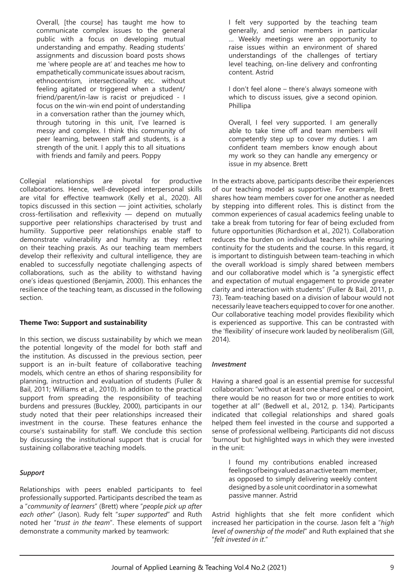Overall, [the course] has taught me how to communicate complex issues to the general public with a focus on developing mutual understanding and empathy. Reading students' assignments and discussion board posts shows me 'where people are at' and teaches me how to empathetically communicate issues about racism, ethnocentrism, intersectionality etc. without feeling agitated or triggered when a student/ friend/parent/in-law is racist or prejudiced - I focus on the win-win end point of understanding in a conversation rather than the journey which, through tutoring in this unit, I've learned is messy and complex. I think this community of peer learning, between staff and students, is a strength of the unit. I apply this to all situations with friends and family and peers. Poppy

Collegial relationships are pivotal for productive collaborations. Hence, well-developed interpersonal skills are vital for effective teamwork (Kelly et al., 2020). All topics discussed in this section — joint activities, scholarly cross-fertilisation and reflexivity — depend on mutually supportive peer relationships characterised by trust and humility. Supportive peer relationships enable staff to demonstrate vulnerability and humility as they reflect on their teaching praxis. As our teaching team members develop their reflexivity and cultural intelligence, they are enabled to successfully negotiate challenging aspects of collaborations, such as the ability to withstand having one's ideas questioned (Benjamin, 2000). This enhances the resilience of the teaching team, as discussed in the following section.

#### **Theme Two: Support and sustainability**

In this section, we discuss sustainability by which we mean the potential longevity of the model for both staff and the institution. As discussed in the previous section, peer support is an in-built feature of collaborative teaching models, which centre an ethos of sharing responsibility for planning, instruction and evaluation of students (Fuller & Bail, 2011; Williams et al., 2010). In addition to the practical support from spreading the responsibility of teaching burdens and pressures (Buckley, 2000), participants in our study noted that their peer relationships increased their investment in the course. These features enhance the course's sustainability for staff. We conclude this section by discussing the institutional support that is crucial for sustaining collaborative teaching models.

#### *Support*

Relationships with peers enabled participants to feel professionally supported. Participants described the team as a "*community of learners*" (Brett) where "*people pick up after each other*" (Jason). Rudy felt "*super supported*" and Ruth noted her "*trust in the team*". These elements of support demonstrate a community marked by teamwork:

I felt very supported by the teaching team generally, and senior members in particular … Weekly meetings were an opportunity to raise issues within an environment of shared understandings of the challenges of tertiary level teaching, on-line delivery and confronting content. Astrid

I don't feel alone – there's always someone with which to discuss issues, give a second opinion. Phillipa

Overall, I feel very supported. I am generally able to take time off and team members will competently step up to cover my duties. I am confident team members know enough about my work so they can handle any emergency or issue in my absence. Brett

In the extracts above, participants describe their experiences of our teaching model as supportive. For example, Brett shares how team members cover for one another as needed by stepping into different roles. This is distinct from the common experiences of casual academics feeling unable to take a break from tutoring for fear of being excluded from future opportunities (Richardson et al., 2021). Collaboration reduces the burden on individual teachers while ensuring continuity for the students and the course. In this regard, it is important to distinguish between team-teaching in which the overall workload is simply shared between members and our collaborative model which is "a synergistic effect and expectation of mutual engagement to provide greater clarity and interaction with students" (Fuller & Bail, 2011, p. 73). Team-teaching based on a division of labour would not necessarily leave teachers equipped to cover for one another. Our collaborative teaching model provides flexibility which is experienced as supportive. This can be contrasted with the 'flexibility' of insecure work lauded by neoliberalism (Gill, 2014).

#### *Investment*

Having a shared goal is an essential premise for successful collaboration: "without at least one shared goal or endpoint, there would be no reason for two or more entities to work together at all" (Bedwell et al., 2012, p. 134). Participants indicated that collegial relationships and shared goals helped them feel invested in the course and supported a sense of professional wellbeing. Participants did not discuss 'burnout' but highlighted ways in which they were invested in the unit:

I found my contributions enabled increased feelings of being valued as an active team member, as opposed to simply delivering weekly content designed by a sole unit coordinator in a somewhat passive manner. Astrid

Astrid highlights that she felt more confident which increased her participation in the course. Jason felt a "*high level of ownership of the model*" and Ruth explained that she "*felt invested in it*."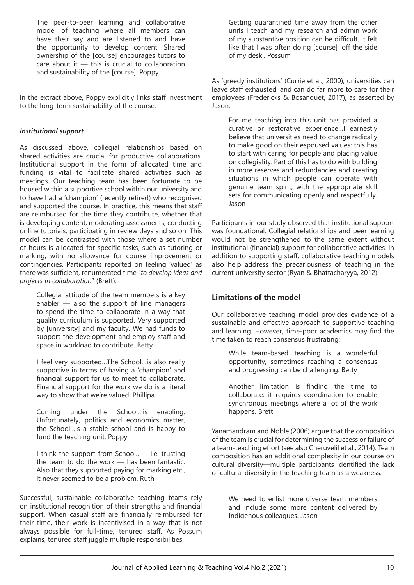The peer-to-peer learning and collaborative model of teaching where all members can have their say and are listened to and have the opportunity to develop content. Shared ownership of the [course] encourages tutors to care about it  $-$  this is crucial to collaboration and sustainability of the [course]. Poppy

In the extract above, Poppy explicitly links staff investment to the long-term sustainability of the course.

#### *Institutional support*

As discussed above, collegial relationships based on shared activities are crucial for productive collaborations. Institutional support in the form of allocated time and funding is vital to facilitate shared activities such as meetings. Our teaching team has been fortunate to be housed within a supportive school within our university and to have had a 'champion' (recently retired) who recognised and supported the course. In practice, this means that staff are reimbursed for the time they contribute, whether that is developing content, moderating assessments, conducting online tutorials, participating in review days and so on. This model can be contrasted with those where a set number of hours is allocated for specific tasks, such as tutoring or marking, with no allowance for course improvement or contingencies. Participants reported on feeling 'valued' as there was sufficient, renumerated time "*to develop ideas and projects in collaboration*" (Brett).

Collegial attitude of the team members is a key enabler — also the support of line managers to spend the time to collaborate in a way that quality curriculum is supported. Very supported by [university] and my faculty. We had funds to support the development and employ staff and space in workload to contribute. Betty

I feel very supported…The School…is also really supportive in terms of having a 'champion' and financial support for us to meet to collaborate. Financial support for the work we do is a literal way to show that we're valued. Phillipa

Coming under the School…is enabling. Unfortunately, politics and economics matter, the School…is a stable school and is happy to fund the teaching unit. Poppy

I think the support from School…— i.e. trusting the team to do the work — has been fantastic. Also that they supported paying for marking etc., it never seemed to be a problem. Ruth

Successful, sustainable collaborative teaching teams rely on institutional recognition of their strengths and financial support. When casual staff are financially reimbursed for their time, their work is incentivised in a way that is not always possible for full-time, tenured staff. As Possum explains, tenured staff juggle multiple responsibilities:

Getting quarantined time away from the other units I teach and my research and admin work of my substantive position can be difficult. It felt like that I was often doing [course] 'off the side of my desk'. Possum

As 'greedy institutions' (Currie et al., 2000), universities can leave staff exhausted, and can do far more to care for their employees (Fredericks & Bosanquet, 2017), as asserted by Jason:

For me teaching into this unit has provided a curative or restorative experience…I earnestly believe that universities need to change radically to make good on their espoused values: this has to start with caring for people and placing value on collegiality. Part of this has to do with building in more reserves and redundancies and creating situations in which people can operate with genuine team spirit, with the appropriate skill sets for communicating openly and respectfully. Jason

Participants in our study observed that institutional support was foundational. Collegial relationships and peer learning would not be strengthened to the same extent without institutional (financial) support for collaborative activities. In addition to supporting staff, collaborative teaching models also help address the precariousness of teaching in the current university sector (Ryan & Bhattacharyya, 2012).

# **Limitations of the model**

Our collaborative teaching model provides evidence of a sustainable and effective approach to supportive teaching and learning. However, time-poor academics may find the time taken to reach consensus frustrating:

While team-based teaching is a wonderful opportunity, sometimes reaching a consensus and progressing can be challenging. Betty

Another limitation is finding the time to collaborate: it requires coordination to enable synchronous meetings where a lot of the work happens. Brett

Yanamandram and Noble (2006) argue that the composition of the team is crucial for determining the success or failure of a team-teaching effort (see also Cheruvelil et al., 2014). Team composition has an additional complexity in our course on cultural diversity—multiple participants identified the lack of cultural diversity in the teaching team as a weakness:

We need to enlist more diverse team members and include some more content delivered by Indigenous colleagues. Jason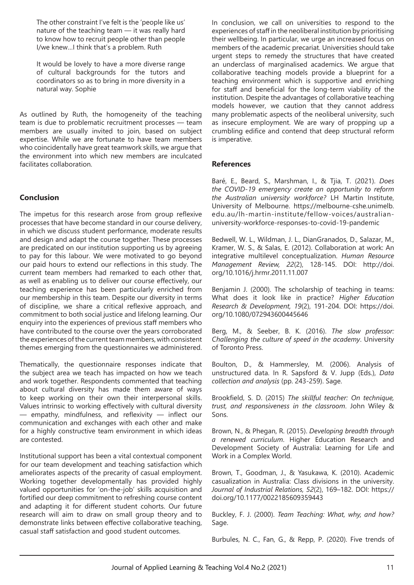The other constraint I've felt is the 'people like us' nature of the teaching team — it was really hard to know how to recruit people other than people I/we knew…I think that's a problem. Ruth

It would be lovely to have a more diverse range of cultural backgrounds for the tutors and coordinators so as to bring in more diversity in a natural way. Sophie

As outlined by Ruth, the homogeneity of the teaching team is due to problematic recruitment processes — team members are usually invited to join, based on subject expertise. While we are fortunate to have team members who coincidentally have great teamwork skills, we argue that the environment into which new members are inculcated facilitates collaboration.

## **Conclusion**

The impetus for this research arose from group reflexive processes that have become standard in our course delivery, in which we discuss student performance, moderate results and design and adapt the course together. These processes are predicated on our institution supporting us by agreeing to pay for this labour. We were motivated to go beyond our paid hours to extend our reflections in this study. The current team members had remarked to each other that, as well as enabling us to deliver our course effectively, our teaching experience has been particularly enriched from our membership in this team. Despite our diversity in terms of discipline, we share a critical reflexive approach, and commitment to both social justice and lifelong learning. Our enquiry into the experiences of previous staff members who have contributed to the course over the years corroborated the experiences of the current team members, with consistent themes emerging from the questionnaires we administered.

Thematically, the questionnaire responses indicate that the subject area we teach has impacted on how we teach and work together. Respondents commented that teaching about cultural diversity has made them aware of ways to keep working on their own their interpersonal skills. Values intrinsic to working effectively with cultural diversity — empathy, mindfulness, and reflexivity — inflect our communication and exchanges with each other and make for a highly constructive team environment in which ideas are contested.

Institutional support has been a vital contextual component for our team development and teaching satisfaction which ameliorates aspects of the precarity of casual employment. Working together developmentally has provided highly valued opportunities for 'on-the-job' skills acquisition and fortified our deep commitment to refreshing course content and adapting it for different student cohorts. Our future research will aim to draw on small group theory and to demonstrate links between effective collaborative teaching, casual staff satisfaction and good student outcomes.

In conclusion, we call on universities to respond to the experiences of staff in the neoliberal institution by prioritising their wellbeing. In particular, we urge an increased focus on members of the academic precariat. Universities should take urgent steps to remedy the structures that have created an underclass of marginalised academics. We argue that collaborative teaching models provide a blueprint for a teaching environment which is supportive and enriching for staff and beneficial for the long-term viability of the institution. Despite the advantages of collaborative teaching models however, we caution that they cannot address many problematic aspects of the neoliberal university, such as insecure employment. We are wary of propping up a crumbling edifice and contend that deep structural reform is imperative.

#### **References**

Baré, E., Beard, S., Marshman, I., & Tjia, T. (2021). *Does the COVID-19 emergency create an opportunity to reform the Australian university workforce?* LH Martin Institute, University of Melbourne. https://melbourne-cshe.unimelb. edu.au/lh-martin-institute/fellow-voices/australianuniversity-workforce-responses-to-covid-19-pandemic

Bedwell, W. L., Wildman, J. L., DianGranados, D., Salazar, M., Kramer, W. S., & Salas, E. (2012). Collaboration at work: An integrative multilevel conceptualization. *Human Resource Management Review, 22*(2), 128-145. DOI: http://doi. org/10.1016/j.hrmr.2011.11.007

Benjamin J. (2000). The scholarship of teaching in teams: What does it look like in practice? *Higher Education Research & Development, 19*(2), 191-204. DOI: https://doi. org/10.1080/072943600445646

Berg, M., & Seeber, B. K. (2016). *The slow professor: Challenging the culture of speed in the academy*. University of Toronto Press.

Boulton, D., & Hammersley, M. (2006). Analysis of unstructured data. In R. Sapsford & V. Jupp (Eds.), *Data collection and analysis* (pp. 243-259). Sage.

Brookfield, S. D. (2015) *The skillful teacher: On technique, trust, and responsiveness in the classroom*. John Wiley & Sons.

Brown, N., & Phegan, R. (2015). *Developing breadth through a renewed curriculum*. Higher Education Research and Development Society of Australia: Learning for Life and Work in a Complex World.

Brown, T., Goodman, J., & Yasukawa, K. (2010). Academic casualization in Australia: Class divisions in the university. *Journal of Industrial Relations, 52*(2), 169–182. DOI: https:// doi.org/10.1177/0022185609359443

Buckley, F. J. (2000). *Team Teaching: What, why, and how?*  Sage.

Burbules, N. C., Fan, G., & Repp, P. (2020). Five trends of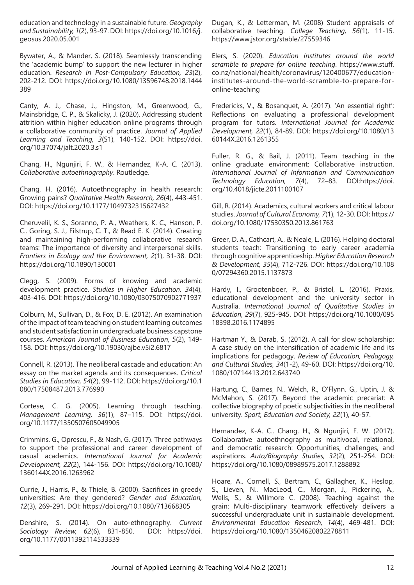education and technology in a sustainable future. *Geography and Sustainability, 1*(2), 93-97. DOI: https://doi.org/10.1016/j. geosus.2020.05.001

Bywater, A., & Mander, S. (2018). Seamlessly transcending the 'academic bump' to support the new lecturer in higher education. *Research in Post-Compulsory Education, 23*(2), 202-212. DOI: https://doi.org/10.1080/13596748.2018.1444 389

Canty, A. J., Chase, J., Hingston, M., Greenwood, G., Mainsbridge, C. P., & Skalicky, J. (2020). Addressing student attrition within higher education online programs through a collaborative community of practice. *Journal of Applied Learning and Teaching, 3*(S1), 140-152. DOI: https://doi. org/10.37074/jalt.2020.3.s1

Chang, H., Ngunjiri, F. W., & Hernandez, K-A. C. (2013). *Collaborative autoethnography*. Routledge.

Chang, H. (2016). Autoethnography in health research: Growing pains? *Qualitative Health Research, 26*(4), 443-451. DOI: https://doi.org/10.1177/1049732315627432

Cheruvelil, K. S., Soranno, P. A., Weathers, K. C., Hanson, P. C., Goring, S. J., Filstrup, C. T., & Read E. K. (2014). Creating and maintaining high-performing collaborative research teams: The importance of diversity and interpersonal skills. *Frontiers in Ecology and the Environment, 2*(1), 31-38. DOI: https://doi.org/10.1890/130001

Clegg, S. (2009). Forms of knowing and academic development practice. *Studies in Higher Education, 34*(4), 403-416. DOI: https://doi.org/10.1080/03075070902771937

Colburn, M., Sullivan, D., & Fox, D. E. (2012). An examination of the impact of team teaching on student learning outcomes and student satisfaction in undergraduate business capstone courses. *American Journal of Business Education, 5*(2), 149- 158. DOI: https://doi.org/10.19030/ajbe.v5i2.6817

Connell, R. (2013). The neoliberal cascade and education: An essay on the market agenda and its consequences. *Critical Studies in Education, 54*(2), 99-112. DOI: https://doi.org/10.1 080/17508487.2013.776990

Cortese, C. G. (2005). Learning through teaching. *Management Learning, 36*(1), 87–115. DOI: https://doi. org/10.1177/1350507605049905

Crimmins, G., Oprescu, F., & Nash, G. (2017). Three pathways to support the professional and career development of casual academics. *International Journal for Academic Development, 22*(2), 144-156. DOI: https://doi.org/10.1080/ 1360144X.2016.1263962

Currie, J., Harris, P., & Thiele, B. (2000). Sacrifices in greedy universities: Are they gendered? *Gender and Education, 12*(3), 269-291. DOI: https://doi.org/10.1080/713668305

Denshire, S. (2014). On auto-ethnography. *Current Sociology Review, 62*(6), 831-850. DOI: https://doi. org/10.1177/0011392114533339

Dugan, K., & Letterman, M. (2008) Student appraisals of collaborative teaching. *College Teaching, 56*(1), 11-15. https://www.jstor.org/stable/27559346

Elers, S. (2020). *Education institutes around the world scramble to prepare for online teaching*. https://www.stuff. co.nz/national/health/coronavirus/120400677/educationinstitutes-around-the-world-scramble-to-prepare-foronline-teaching

Fredericks, V., & Bosanquet, A. (2017). 'An essential right': Reflections on evaluating a professional development program for tutors. *International Journal for Academic Development, 22*(1), 84-89. DOI: https://doi.org/10.1080/13 60144X.2016.1261355

Fuller, R. G., & Bail, J. (2011). Team teaching in the online graduate environment: Collaborative instruction. *International Journal of Information and Communication Technology Education, 7*(4), 72–83. DOI:https://doi. org/10.4018/jicte.2011100107

Gill, R. (2014). Academics, cultural workers and critical labour studies. *Journal of Cultural Economy, 7*(1), 12-30. DOI: https:// doi.org/10.1080/17530350.2013.861763

Greer, D. A., Cathcart, A., & Neale, L. (2016). Helping doctoral students teach: Transitioning to early career academia through cognitive apprenticeship. *Higher Education Research & Development, 35*(4), 712-726. DOI: https://doi.org/10.108 0/07294360.2015.1137873

Hardy, I., Grootenboer, P., & Bristol, L. (2016). Praxis, educational development and the university sector in Australia. *International Journal of Qualitative Studies in Education, 29*(7), 925-945. DOI: https://doi.org/10.1080/095 18398.2016.1174895

Hartman Y., & Darab, S. (2012). A call for slow scholarship: A case study on the intensification of academic life and its implications for pedagogy. *Review of Education, Pedagogy, and Cultural Studies, 34*(1-2), 49-60. DOI: https://doi.org/10. 1080/10714413.2012.643740

Hartung, C., Barnes, N., Welch, R., O'Flynn, G., Uptin, J. & McMahon, S. (2017). Beyond the academic precariat: A collective biography of poetic subjectivities in the neoliberal university. *Sport, Education and Society, 22*(1), 40-57.

Hernandez, K-A. C., Chang, H., & Ngunjiri, F. W. (2017). Collaborative autoethnography as multivocal, relational, and democratic research: Opportunities, challenges, and aspirations. *Auto/Biography Studies, 32*(2), 251-254. DOI: https://doi.org/10.1080/08989575.2017.1288892

Hoare, A., Cornell, S., Bertram, C., Gallagher, K., Heslop, S., Lieven, N., MacLeod, C., Morgan, J., Pickering, A., Wells, S., & Willmore C. (2008). Teaching against the grain: Multi‐disciplinary teamwork effectively delivers a successful undergraduate unit in sustainable development. *Environmental Education Research, 14*(4), 469-481. DOI: https://doi.org/10.1080/13504620802278811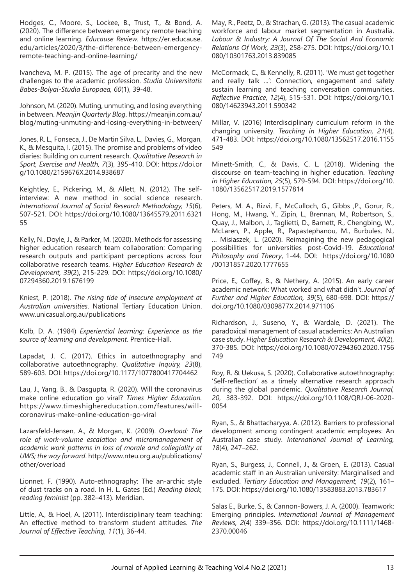Hodges, C., Moore, S., Lockee, B., Trust, T., & Bond, A. (2020). The difference between emergency remote teaching and online learning. *Educause Review.* https://er.educause. edu/articles/2020/3/the-difference-between-emergencyremote-teaching-and-online-learning/

Ivancheva, M. P. (2015). The age of precarity and the new challenges to the academic profession. *Studia Universitatis Babes-Bolyai-Studia Europaea, 60*(1), 39-48.

Johnson, M. (2020). Muting, unmuting, and losing everything in between. *Meanjin Quarterly Blog*. https://meanjin.com.au/ blog/muting-unmuting-and-losing-everything-in-between/

Jones, R. L., Fonseca, J., De Martin Silva, L., Davies, G., Morgan, K., & Mesquita, I. (2015). The promise and problems of video diaries: Building on current research. *Qualitative Research in Sport, Exercise and Health, 7*(3), 395-410. DOI: https://doi.or g/10.1080/2159676X.2014.938687

Keightley, E., Pickering, M., & Allett, N. (2012). The selfinterview: A new method in social science research. *International Journal of Social Research Methodology, 15*(6), 507-521. DOI: https://doi.org/10.1080/13645579.2011.6321 55

Kelly, N., Doyle, J., & Parker, M. (2020). Methods for assessing higher education research team collaboration: Comparing research outputs and participant perceptions across four collaborative research teams. *Higher Education Research & Development, 39*(2), 215-229. DOI: https://doi.org/10.1080/ 07294360.2019.1676199

Kniest, P. (2018). *The rising tide of insecure employment at Australian universities*. National Tertiary Education Union. www.unicasual.org.au/publications

Kolb, D. A. (1984) *Experiential learning: Experience as the source of learning and development.* Prentice-Hall.

Lapadat, J. C. (2017). Ethics in autoethnography and collaborative autoethnography. *Qualitative Inquiry, 23*(8), 589-603. DOI: https://doi.org/10.1177/1077800417704462

Lau, J., Yang, B., & Dasgupta, R. (2020). Will the coronavirus make online education go viral? *Times Higher Education.*  https://www.timeshighereducation.com/features/willcoronavirus-make-online-education-go-viral

Lazarsfeld-Jensen, A., & Morgan, K. (2009). *Overload: The role of work-volume escalation and micromanagement of academic work patterns in loss of morale and collegiality at UWS; the way forward*. http://www.nteu.org.au/publications/ other/overload

Lionnet, F. (1990). Auto-ethnography: The an-archic style of dust tracks on a road. In H. L. Gates (Ed.) *Reading black, reading feminist* (pp. 382–413). Meridian.

Little, A., & Hoel, A. (2011). Interdisciplinary team teaching: An effective method to transform student attitudes. *The Journal of Effective Teaching, 11*(1), 36-44.

May, R., Peetz, D., & Strachan, G. (2013). The casual academic workforce and labour market segmentation in Australia. *Labour & Industry: A Journal Of The Social And Economic Relations Of Work, 23*(3), 258-275. DOI: https://doi.org/10.1 080/10301763.2013.839085

McCormack, C., & Kennelly, R. (2011). 'We must get together and really talk ...': Connection, engagement and safety sustain learning and teaching conversation communities. *Reflective Practice, 12*(4), 515-531. DOI: https://doi.org/10.1 080/14623943.2011.590342

Millar, V. (2016) Interdisciplinary curriculum reform in the changing university. *Teaching in Higher Education, 21*(4), 471-483. DOI: https://doi.org/10.1080/13562517.2016.1155 549

Minett-Smith, C., & Davis, C. L. (2018). Widening the discourse on team-teaching in higher education. *Teaching in Higher Education, 25*(5), 579-594. DOI: https://doi.org/10. 1080/13562517.2019.1577814

Peters, M. A., Rizvi, F., McCulloch, G., Gibbs ,P., Gorur, R., Hong, M., Hwang, Y., Zipin, L., Brennan, M., Robertson, S., Quay, J., Malbon, J., Taglietti, D., Barnett, R., Chengbing, W., McLaren, P., Apple, R., Papastephanou, M., Burbules, N., … Misiaszek, L. (2020). Reimagining the new pedagogical possibilities for universities post-Covid-19. *Educational Philosophy and Theory*, 1-44. DOI: https://doi.org/10.1080 /00131857.2020.1777655

Price, E., Coffey, B., & Nethery, A. (2015). An early career academic network: What worked and what didn't. *Journal of Further and Higher Education, 39*(5), 680-698. DOI: https:// doi.org/10.1080/0309877X.2014.971106

Richardson, J., Suseno, Y., & Wardale, D. (2021). The paradoxical management of casual academics: An Australian case study. *Higher Education Research & Development, 40*(2), 370-385. DOI: https://doi.org/10.1080/07294360.2020.1756 749

Roy, R. & Uekusa, S. (2020). Collaborative autoethnography: 'Self-reflection' as a timely alternative research approach during the global pandemic. *Qualitative Research Journal, 20*, 383-392. DOI: https://doi.org/10.1108/QRJ-06-2020- 0054

Ryan, S., & Bhattacharyya, A. (2012). Barriers to professional development among contingent academic employees: An Australian case study. *International Journal of Learning, 18*(4), 247–262.

Ryan, S., Burgess, J., Connell, J., & Groen, E. (2013). Casual academic staff in an Australian university: Marginalised and excluded. *Tertiary Education and Management, 19*(2), 161– 175. DOI: https://doi.org/10.1080/13583883.2013.783617

Salas E., Burke, S., & Cannon-Bowers, J. A. (2000). Teamwork: Emerging principles. *International Journal of Management Reviews, 2*(4) 339–356. DOI: https://doi.org/10.1111/1468- 2370.00046